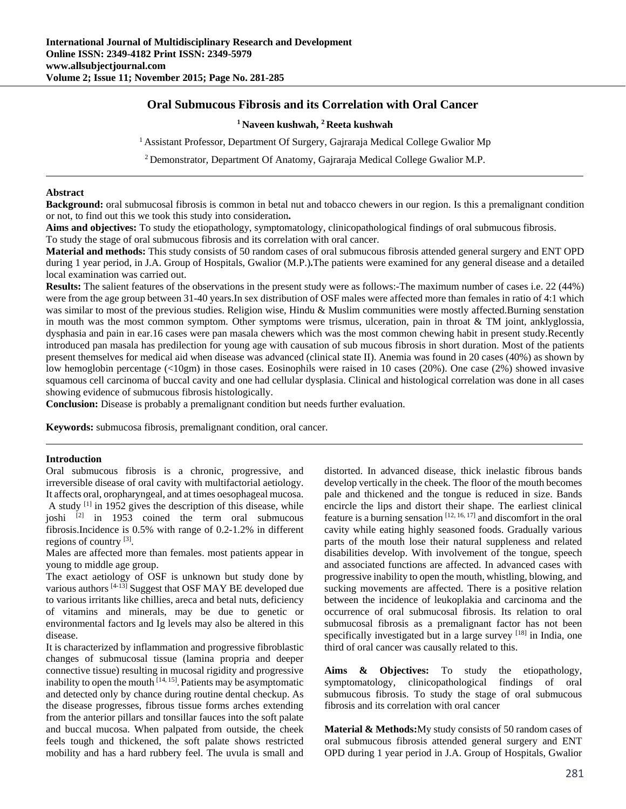# **Oral Submucous Fibrosis and its Correlation with Oral Cancer**

## **1 Naveen kushwah, 2 Reeta kushwah**

<sup>1</sup> Assistant Professor, Department Of Surgery, Gajraraja Medical College Gwalior Mp

2 Demonstrator, Department Of Anatomy, Gajraraja Medical College Gwalior M.P.

#### **Abstract**

**Background:** oral submucosal fibrosis is common in betal nut and tobacco chewers in our region. Is this a premalignant condition or not, to find out this we took this study into consideration**.** 

**Aims and objectives:** To study the etiopathology, symptomatology, clinicopathological findings of oral submucous fibrosis.

To study the stage of oral submucous fibrosis and its correlation with oral cancer.

**Material and methods:** This study consists of 50 random cases of oral submucous fibrosis attended general surgery and ENT OPD during 1 year period, in J.A. Group of Hospitals, Gwalior (M.P.)**.**The patients were examined for any general disease and a detailed local examination was carried out.

**Results:** The salient features of the observations in the present study were as follows:-The maximum number of cases i.e. 22 (44%) were from the age group between 31-40 years.In sex distribution of OSF males were affected more than females in ratio of 4:1 which was similar to most of the previous studies. Religion wise, Hindu & Muslim communities were mostly affected.Burning senstation in mouth was the most common symptom. Other symptoms were trismus, ulceration, pain in throat  $\&$  TM joint, anklyglossia, dysphasia and pain in ear.16 cases were pan masala chewers which was the most common chewing habit in present study.Recently introduced pan masala has predilection for young age with causation of sub mucous fibrosis in short duration. Most of the patients present themselves for medical aid when disease was advanced (clinical state II). Anemia was found in 20 cases (40%) as shown by low hemoglobin percentage (<10gm) in those cases. Eosinophils were raised in 10 cases (20%). One case (2%) showed invasive squamous cell carcinoma of buccal cavity and one had cellular dysplasia. Clinical and histological correlation was done in all cases showing evidence of submucous fibrosis histologically.

**Conclusion:** Disease is probably a premalignant condition but needs further evaluation.

**Keywords:** submucosa fibrosis, premalignant condition, oral cancer.

#### **Introduction**

Oral submucous fibrosis is a chronic, progressive, and irreversible disease of oral cavity with multifactorial aetiology. It affects oral, oropharyngeal, and at times oesophageal mucosa. A study [1] in 1952 gives the description of this disease, while joshi  $^{[2]}$  in 1953 coined the term oral submucous fibrosis.Incidence is 0.5% with range of 0.2-1.2% in different regions of country [3].

Males are affected more than females. most patients appear in young to middle age group.

The exact aetiology of OSF is unknown but study done by various authors  $[4-13]$  Suggest that OSF MAY BE developed due to various irritants like chillies, areca and betal nuts, deficiency of vitamins and minerals, may be due to genetic or environmental factors and Ig levels may also be altered in this disease.

It is characterized by inflammation and progressive fibroblastic changes of submucosal tissue (lamina propria and deeper connective tissue) resulting in mucosal rigidity and progressive inability to open the mouth  $^{[14, 15]}$ . Patients may be asymptomatic and detected only by chance during routine dental checkup. As the disease progresses, fibrous tissue forms arches extending from the anterior pillars and tonsillar fauces into the soft palate and buccal mucosa. When palpated from outside, the cheek feels tough and thickened, the soft palate shows restricted mobility and has a hard rubbery feel. The uvula is small and

distorted. In advanced disease, thick inelastic fibrous bands develop vertically in the cheek. The floor of the mouth becomes pale and thickened and the tongue is reduced in size. Bands encircle the lips and distort their shape. The earliest clinical feature is a burning sensation  $[12, 16, 17]$  and discomfort in the oral cavity while eating highly seasoned foods. Gradually various parts of the mouth lose their natural suppleness and related disabilities develop. With involvement of the tongue, speech and associated functions are affected. In advanced cases with progressive inability to open the mouth, whistling, blowing, and sucking movements are affected. There is a positive relation between the incidence of leukoplakia and carcinoma and the occurrence of oral submucosal fibrosis. Its relation to oral submucosal fibrosis as a premalignant factor has not been specifically investigated but in a large survey  $[18]$  in India, one third of oral cancer was causally related to this.

**Aims & Objectives:** To study the etiopathology, symptomatology, clinicopathological findings of oral submucous fibrosis. To study the stage of oral submucous fibrosis and its correlation with oral cancer

**Material & Methods:**My study consists of 50 random cases of oral submucous fibrosis attended general surgery and ENT OPD during 1 year period in J.A. Group of Hospitals, Gwalior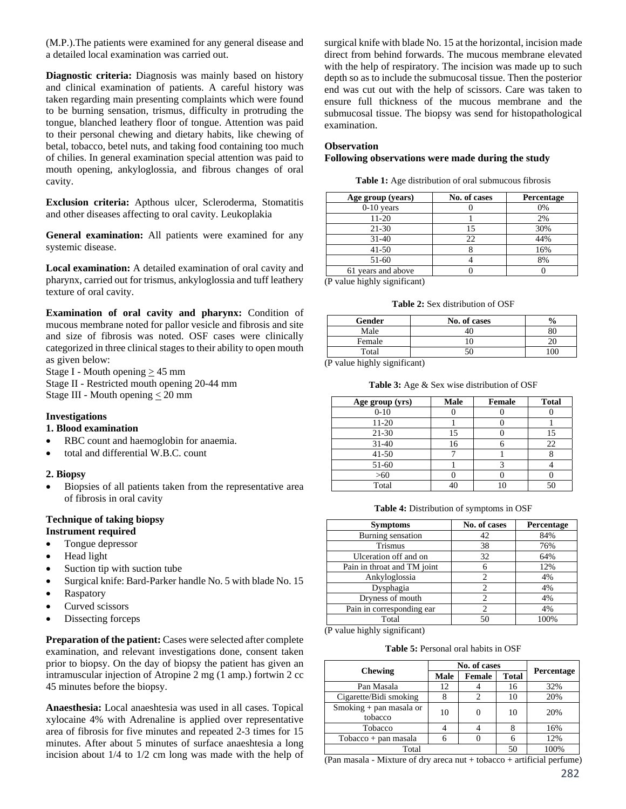(M.P.).The patients were examined for any general disease and a detailed local examination was carried out.

**Diagnostic criteria:** Diagnosis was mainly based on history and clinical examination of patients. A careful history was taken regarding main presenting complaints which were found to be burning sensation, trismus, difficulty in protruding the tongue, blanched leathery floor of tongue. Attention was paid to their personal chewing and dietary habits, like chewing of betal, tobacco, betel nuts, and taking food containing too much of chilies. In general examination special attention was paid to mouth opening, ankyloglossia, and fibrous changes of oral cavity.

**Exclusion criteria:** Apthous ulcer, Scleroderma, Stomatitis and other diseases affecting to oral cavity. Leukoplakia

**General examination:** All patients were examined for any systemic disease.

**Local examination:** A detailed examination of oral cavity and pharynx, carried out for trismus, ankyloglossia and tuff leathery texture of oral cavity.

**Examination of oral cavity and pharynx:** Condition of mucous membrane noted for pallor vesicle and fibrosis and site and size of fibrosis was noted. OSF cases were clinically categorized in three clinical stages to their ability to open mouth as given below:

Stage I - Mouth opening  $\geq$  45 mm Stage II - Restricted mouth opening 20-44 mm

Stage III - Mouth opening  $\leq 20$  mm

## **Investigations**

## **1. Blood examination**

- RBC count and haemoglobin for anaemia.
- total and differential W.B.C. count

## **2. Biopsy**

 Biopsies of all patients taken from the representative area of fibrosis in oral cavity

#### **Technique of taking biopsy Instrument required**

- Tongue depressor
- Head light
- Suction tip with suction tube
- Surgical knife: Bard-Parker handle No. 5 with blade No. 15
- Raspatory
- Curved scissors
- Dissecting forceps

**Preparation of the patient:** Cases were selected after complete examination, and relevant investigations done, consent taken prior to biopsy. On the day of biopsy the patient has given an intramuscular injection of Atropine 2 mg (1 amp.) fortwin 2 cc 45 minutes before the biopsy.

**Anaesthesia:** Local anaeshtesia was used in all cases. Topical xylocaine 4% with Adrenaline is applied over representative area of fibrosis for five minutes and repeated 2-3 times for 15 minutes. After about 5 minutes of surface anaeshtesia a long incision about 1/4 to 1/2 cm long was made with the help of

surgical knife with blade No. 15 at the horizontal, incision made direct from behind forwards. The mucous membrane elevated with the help of respiratory. The incision was made up to such depth so as to include the submucosal tissue. Then the posterior end was cut out with the help of scissors. Care was taken to ensure full thickness of the mucous membrane and the submucosal tissue. The biopsy was send for histopathological examination.

## **Observation**

### **Following observations were made during the study**

**Table 1:** Age distribution of oral submucous fibrosis

| Age group (years)  | No. of cases | <b>Percentage</b> |
|--------------------|--------------|-------------------|
| $0-10$ years       |              | 0%                |
| 11-20              |              | 2%                |
| $21 - 30$          | 15           | 30%               |
| $31-40$            | 22           | 44%               |
| $41 - 50$          |              | 16%               |
| 51-60              |              | 8%                |
| 61 years and above |              |                   |

(P value highly significant)

| <b>Table 2:</b> Sex distribution of OSF |  |
|-----------------------------------------|--|
|-----------------------------------------|--|

| Gender | No. of cases | $\frac{6}{9}$ |
|--------|--------------|---------------|
| Male   |              | ŏι            |
| Female |              |               |
| Total  |              |               |

(P value highly significant)

**Table 3:** Age & Sex wise distribution of OSF

| Age group (yrs) | Male | <b>Female</b> | <b>Total</b> |
|-----------------|------|---------------|--------------|
| $0 - 10$        |      |               |              |
| 11-20           |      |               |              |
| $21 - 30$       | 15   |               |              |
| $31 - 40$       | 16   |               | 22           |
| $41 - 50$       |      |               |              |
| 51-60           |      |               |              |
| $>60$           |      |               |              |
| Total           |      |               |              |

**Table 4:** Distribution of symptoms in OSF

| <b>Symptoms</b>             | No. of cases   | <b>Percentage</b> |
|-----------------------------|----------------|-------------------|
| Burning sensation           | 42             | 84%               |
| <b>Trismus</b>              | 38             | 76%               |
| Ulceration off and on       | 32             | 64%               |
| Pain in throat and TM joint | 6              | 12%               |
| Ankyloglossia               | 2              | 4%                |
| Dysphagia                   | 2              | 4%                |
| Dryness of mouth            | 2              | 4%                |
| Pain in corresponding ear   | $\mathfrak{D}$ | 4%                |
| Total                       | 50             | 100%              |

(P value highly significant)

**Table 5:** Personal oral habits in OSF

| <b>Chewing</b>                       | No. of cases |               |              |                   |
|--------------------------------------|--------------|---------------|--------------|-------------------|
|                                      | Male         | <b>Female</b> | <b>Total</b> | <b>Percentage</b> |
| Pan Masala                           | 12           |               | 16           | 32%               |
| Cigarette/Bidi smoking               |              |               | 10           | 20%               |
| Smoking $+$ pan masala or<br>tobacco | 10           |               | 10           | 20%               |
| Tobacco                              |              |               |              | 16%               |
| $Tobacco + pan masala$               |              |               |              | 12%               |
| Total                                | 50           | 100%          |              |                   |

(Pan masala - Mixture of dry areca nut + tobacco + artificial perfume)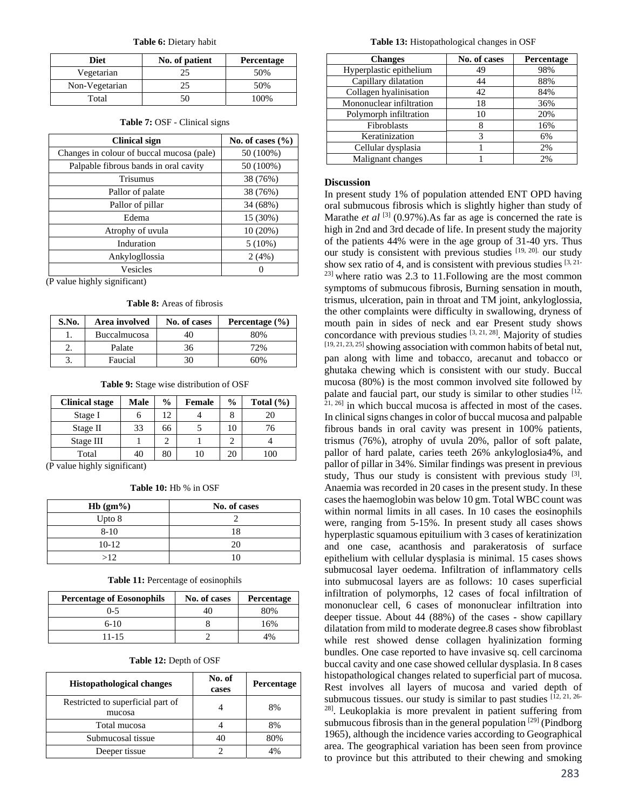**Table 6:** Dietary habit

| <b>Diet</b>    | No. of patient | Percentage |
|----------------|----------------|------------|
| Vegetarian     |                | 50%        |
| Non-Vegetarian |                | 50%        |
| Total          |                | 100%       |

| <b>Table 7: OSF</b> - Clinical signs |  |  |
|--------------------------------------|--|--|
|--------------------------------------|--|--|

| No. of cases $(\%$ |
|--------------------|
| 50 (100%)          |
| 50 (100%)          |
| 38 (76%)           |
| 38 (76%)           |
| 34 (68%)           |
| 15 (30%)           |
| 10 (20%)           |
| $5(10\%)$          |
| 2(4%)              |
| 0                  |
|                    |

(P value highly significant)

**Table 8:** Areas of fibrosis

| S.No. | Area involved       | No. of cases | Percentage $(\% )$ |
|-------|---------------------|--------------|--------------------|
|       | <b>Buccalmucosa</b> | 40           | 80%                |
|       | Palate              | 36           | 72%                |
|       | Faucial             | 30           | 60%                |

**Table 9:** Stage wise distribution of OSF

| <b>Clinical stage</b> | Male | $\frac{6}{9}$ | <b>Female</b> | $\frac{0}{0}$ | Total $(\% )$ |
|-----------------------|------|---------------|---------------|---------------|---------------|
| Stage I               |      | 12            |               |               | 20            |
| Stage II              | 33   | 66            |               |               | 76            |
| Stage III             |      |               |               |               |               |
| Total                 |      | 80            |               |               | 100           |

(P value highly significant)

| <b>Table 10:</b> Hb % in OSF |  |  |  |
|------------------------------|--|--|--|
|                              |  |  |  |

| $Hb(gm\%)$ | No. of cases |
|------------|--------------|
| Upto 8     |              |
| $8 - 10$   | 18           |
| $10-12$    | 20           |
| >12        | ۱n           |

**Table 11:** Percentage of eosinophils

| <b>Percentage of Eosonophils</b> | No. of cases | <b>Percentage</b> |
|----------------------------------|--------------|-------------------|
| $0 - 5$                          | 40           | 80%               |
| $6-10$                           |              | 16%               |
| 11-15                            |              | 10⁄               |

#### **Table 12:** Depth of OSF

| <b>Histopathological changes</b>            | No. of<br>cases | Percentage |
|---------------------------------------------|-----------------|------------|
| Restricted to superficial part of<br>mucosa |                 | 8%         |
| Total mucosa                                |                 | 8%         |
| Submucosal tissue                           |                 | 80%        |
| Deeper tissue                               |                 |            |

**Table 13:** Histopathological changes in OSF

| <b>Changes</b>           | No. of cases | Percentage |
|--------------------------|--------------|------------|
| Hyperplastic epithelium  | 49           | 98%        |
| Capillary dilatation     | 44           | 88%        |
| Collagen hyalinisation   | 42           | 84%        |
| Mononuclear infiltration | 18           | 36%        |
| Polymorph infiltration   | 10           | 20%        |
| Fibroblasts              |              | 16%        |
| Keratinization           | 3            | 6%         |
| Cellular dysplasia       |              | 2%         |
| Malignant changes        |              | 2%         |

### **Discussion**

In present study 1% of population attended ENT OPD having oral submucous fibrosis which is slightly higher than study of Marathe *et al* <sup>[3]</sup> (0.97%). As far as age is concerned the rate is high in 2nd and 3rd decade of life. In present study the majority of the patients 44% were in the age group of 31-40 yrs. Thus our study is consistent with previous studies [19, 20]. our study show sex ratio of 4, and is consistent with previous studies  $[3, 2]$  $23$ ] where ratio was 2.3 to 11. Following are the most common symptoms of submucous fibrosis, Burning sensation in mouth, trismus, ulceration, pain in throat and TM joint, ankyloglossia, the other complaints were difficulty in swallowing, dryness of mouth pain in sides of neck and ear Present study shows concordance with previous studies [3, 21, 28]. Majority of studies  $[19, 21, 23, 25]$  showing association with common habits of betal nut, pan along with lime and tobacco, arecanut and tobacco or ghutaka chewing which is consistent with our study. Buccal mucosa (80%) is the most common involved site followed by palate and faucial part, our study is similar to other studies [12,  $^{21, 26]}$  in which buccal mucosa is affected in most of the cases. In clinical signs changes in color of buccal mucosa and palpable fibrous bands in oral cavity was present in 100% patients, trismus (76%), atrophy of uvula 20%, pallor of soft palate, pallor of hard palate, caries teeth 26% ankyloglosia4%, and pallor of pillar in 34%. Similar findings was present in previous study, Thus our study is consistent with previous study  $[3]$ . Anaemia was recorded in 20 cases in the present study. In these cases the haemoglobin was below 10 gm. Total WBC count was within normal limits in all cases. In 10 cases the eosinophils were, ranging from 5-15%. In present study all cases shows hyperplastic squamous epituilium with 3 cases of keratinization and one case, acanthosis and parakeratosis of surface epithelium with cellular dysplasia is minimal. 15 cases shows submucosal layer oedema. Infiltration of inflammatory cells into submucosal layers are as follows: 10 cases superficial infiltration of polymorphs, 12 cases of focal infiltration of mononuclear cell, 6 cases of mononuclear infiltration into deeper tissue. About 44 (88%) of the cases - show capillary dilatation from mild to moderate degree.8 cases show fibroblast while rest showed dense collagen hyalinization forming bundles. One case reported to have invasive sq. cell carcinoma buccal cavity and one case showed cellular dysplasia. In 8 cases histopathological changes related to superficial part of mucosa. Rest involves all layers of mucosa and varied depth of submucous tissues. our study is similar to past studies  $[12, 21, 26]$ 28]. Leukoplakia is more prevalent in patient suffering from submucous fibrosis than in the general population  $[29]$  (Pindborg 1965), although the incidence varies according to Geographical area. The geographical variation has been seen from province to province but this attributed to their chewing and smoking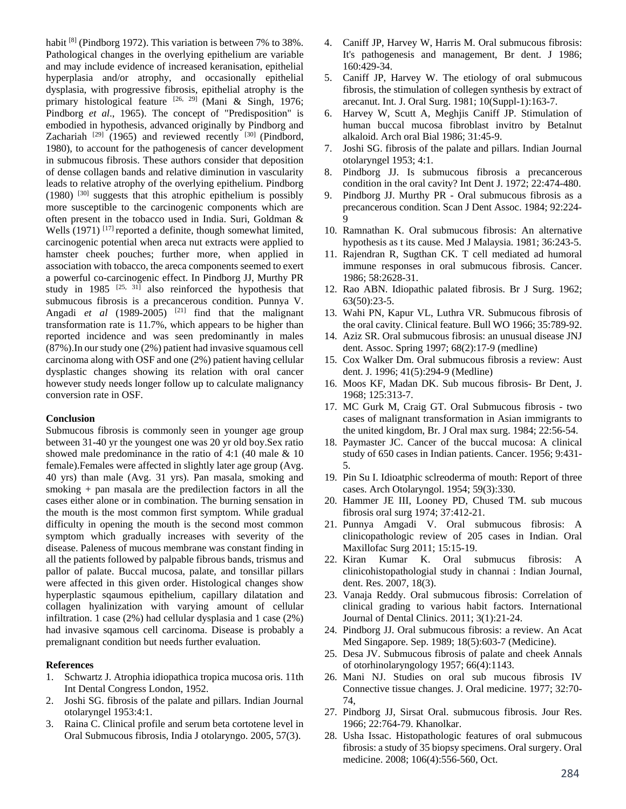habit <sup>[8]</sup> (Pindborg 1972). This variation is between 7% to 38%. Pathological changes in the overlying epithelium are variable and may include evidence of increased keranisation, epithelial hyperplasia and/or atrophy, and occasionally epithelial dysplasia, with progressive fibrosis, epithelial atrophy is the primary histological feature <sup>[26, 29]</sup> (Mani & Singh, 1976; Pindborg *et al*., 1965). The concept of "Predisposition" is embodied in hypothesis, advanced originally by Pindborg and Zachariah  $[29]$  (1965) and reviewed recently  $[30]$  (Pindbord, 1980), to account for the pathogenesis of cancer development in submucous fibrosis. These authors consider that deposition of dense collagen bands and relative diminution in vascularity leads to relative atrophy of the overlying epithelium. Pindborg  $(1980)$  <sup>[30]</sup> suggests that this atrophic epithelium is possibly more susceptible to the carcinogenic components which are often present in the tobacco used in India. Suri, Goldman & Wells (1971)<sup>[17]</sup> reported a definite, though somewhat limited, carcinogenic potential when areca nut extracts were applied to hamster cheek pouches; further more, when applied in association with tobacco, the areca components seemed to exert a powerful co-carcinogenic effect. In Pindborg JJ, Murthy PR study in 1985  $[25, 31]$  also reinforced the hypothesis that submucous fibrosis is a precancerous condition. Punnya V. Angadi *et al* (1989-2005) <sup>[21]</sup> find that the malignant transformation rate is 11.7%, which appears to be higher than reported incidence and was seen predominantly in males (87%).In our study one (2%) patient had invasive squamous cell carcinoma along with OSF and one (2%) patient having cellular dysplastic changes showing its relation with oral cancer however study needs longer follow up to calculate malignancy conversion rate in OSF.

## **Conclusion**

Submucous fibrosis is commonly seen in younger age group between 31-40 yr the youngest one was 20 yr old boy.Sex ratio showed male predominance in the ratio of 4:1 (40 male & 10 female).Females were affected in slightly later age group (Avg. 40 yrs) than male (Avg. 31 yrs). Pan masala, smoking and smoking + pan masala are the predilection factors in all the cases either alone or in combination. The burning sensation in the mouth is the most common first symptom. While gradual difficulty in opening the mouth is the second most common symptom which gradually increases with severity of the disease. Paleness of mucous membrane was constant finding in all the patients followed by palpable fibrous bands, trismus and pallor of palate. Buccal mucosa, palate, and tonsillar pillars were affected in this given order. Histological changes show hyperplastic sqaumous epithelium, capillary dilatation and collagen hyalinization with varying amount of cellular infiltration. 1 case (2%) had cellular dysplasia and 1 case (2%) had invasive sqamous cell carcinoma. Disease is probably a premalignant condition but needs further evaluation.

## **References**

- 1. Schwartz J. Atrophia idiopathica tropica mucosa oris. 11th Int Dental Congress London, 1952.
- 2. Joshi SG. fibrosis of the palate and pillars. Indian Journal otolaryngel 1953:4:1.
- 3. Raina C. Clinical profile and serum beta cortotene level in Oral Submucous fibrosis, India J otolaryngo. 2005, 57(3).
- 4. Caniff JP, Harvey W, Harris M. Oral submucous fibrosis: It's pathogenesis and management, Br dent. J 1986; 160:429-34.
- 5. Caniff JP, Harvey W. The etiology of oral submucous fibrosis, the stimulation of collegen synthesis by extract of arecanut. Int. J. Oral Surg. 1981; 10(Suppl-1):163-7.
- 6. Harvey W, Scutt A, Meghjis Caniff JP. Stimulation of human buccal mucosa fibroblast invitro by Betalnut alkaloid. Arch oral Bial 1986; 31:45-9.
- 7. Joshi SG. fibrosis of the palate and pillars. Indian Journal otolaryngel 1953; 4:1.
- 8. Pindborg JJ. Is submucous fibrosis a precancerous condition in the oral cavity? Int Dent J. 1972; 22:474-480.
- 9. Pindborg JJ. Murthy PR Oral submucous fibrosis as a precancerous condition. Scan J Dent Assoc. 1984; 92:224- 9
- 10. Ramnathan K. Oral submucous fibrosis: An alternative hypothesis as t its cause. Med J Malaysia. 1981; 36:243-5.
- 11. Rajendran R, Sugthan CK. T cell mediated ad humoral immune responses in oral submucous fibrosis. Cancer. 1986; 58:2628-31.
- 12. Rao ABN. Idiopathic palated fibrosis. Br J Surg. 1962; 63(50):23-5.
- 13. Wahi PN, Kapur VL, Luthra VR. Submucous fibrosis of the oral cavity. Clinical feature. Bull WO 1966; 35:789-92.
- 14. Aziz SR. Oral submucous fibrosis: an unusual disease JNJ dent. Assoc. Spring 1997; 68(2):17-9 (medline)
- 15. Cox Walker Dm. Oral submucous fibrosis a review: Aust dent. J. 1996; 41(5):294-9 (Medline)
- 16. Moos KF, Madan DK. Sub mucous fibrosis- Br Dent, J. 1968; 125:313-7.
- 17. MC Gurk M, Craig GT. Oral Submucous fibrosis two cases of malignant transformation in Asian immigrants to the united kingdom, Br. J Oral max surg. 1984; 22:56-54.
- 18. Paymaster JC. Cancer of the buccal mucosa: A clinical study of 650 cases in Indian patients. Cancer. 1956; 9:431- 5.
- 19. Pin Su I. Idioatphic sclreoderma of mouth: Report of three cases. Arch Otolaryngol. 1954; 59(3):330.
- 20. Hammer JE III, Looney PD, Chused TM. sub mucous fibrosis oral surg 1974; 37:412-21.
- 21. Punnya Amgadi V. Oral submucous fibrosis: A clinicopathologic review of 205 cases in Indian. Oral Maxillofac Surg 2011; 15:15-19.
- 22. Kiran Kumar K. Oral submucus fibrosis: A clinicohistopathologial study in channai : Indian Journal, dent. Res. 2007, 18(3).
- 23. Vanaja Reddy. Oral submucous fibrosis: Correlation of clinical grading to various habit factors. International Journal of Dental Clinics. 2011; 3(1):21-24.
- 24. Pindborg JJ. Oral submucous fibrosis: a review. An Acat Med Singapore. Sep. 1989; 18(5):603-7 (Medicine).
- 25. Desa JV. Submucous fibrosis of palate and cheek Annals of otorhinolaryngology 1957; 66(4):1143.
- 26. Mani NJ. Studies on oral sub mucous fibrosis IV Connective tissue changes. J. Oral medicine. 1977; 32:70- 74,
- 27. Pindborg JJ, Sirsat Oral. submucous fibrosis. Jour Res. 1966; 22:764-79. Khanolkar.
- 28. Usha Issac. Histopathologic features of oral submucous fibrosis: a study of 35 biopsy specimens. Oral surgery. Oral medicine. 2008; 106(4):556-560, Oct.